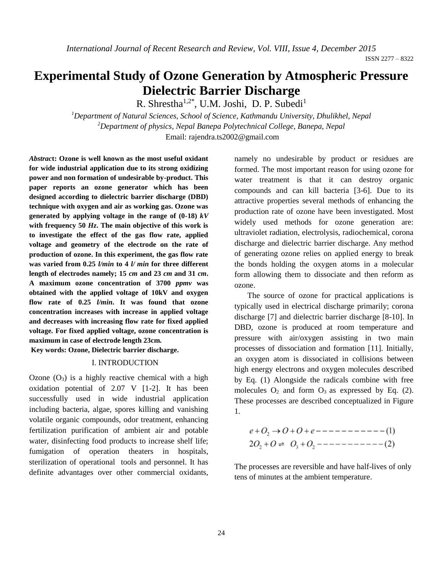# **Experimental Study of Ozone Generation by Atmospheric Pressure Dielectric Barrier Discharge**

R. Shrestha<sup>1,2\*</sup>, U.M. Joshi, D. P. Subedi<sup>1</sup>

*<sup>1</sup>Department of Natural Sciences, School of Science, Kathmandu University, Dhulikhel, Nepal <sup>2</sup>Department of physics, Nepal Banepa Polytechnical College, Banepa, Nepal* Email: [rajendra.ts2002@gmail.com](mailto:rajendra.ts2002@gmail.com)

*Abstrac***t: Ozone is well known as the most useful oxidant for wide industrial application due to its strong oxidizing power and non formation of undesirable by-product. This paper reports an ozone generator which has been designed according to dielectric barrier discharge (DBD) technique with oxygen and air as working gas. Ozone was generated by applying voltage in the range of (0-18)** *kV* **with frequency 50** *Hz***. The main objective of this work is to investigate the effect of the gas flow rate, applied voltage and geometry of the electrode on the rate of production of ozone. In this experiment, the gas flow rate was varied from 0.25** *l/min* **to 4** *l/ min* **for three different length of electrodes namely; 15** *cm* **and 23** *cm* **and 31** *cm***. A maximum ozone concentration of 3700** *ppmv* **was obtained with the applied voltage of 10kV and oxygen flow rate of 0.25** *l/min***. It was found that ozone concentration increases with increase in applied voltage and decreases with increasing flow rate for fixed applied voltage. For fixed applied voltage, ozone concentration is maximum in case of electrode length 23cm.**

**Key words: Ozone, Dielectric barrier discharge.**

# I. INTRODUCTION

Ozone  $(O_3)$  is a highly reactive chemical with a high oxidation potential of 2.07 V [1-2]. It has been successfully used in wide industrial application including bacteria, algae, spores killing and vanishing volatile organic compounds, odor treatment, enhancing fertilization purification of ambient air and potable water, disinfecting food products to increase shelf life; fumigation of operation theaters in hospitals, sterilization of operational tools and personnel. It has definite advantages over other commercial oxidants, namely no undesirable by product or residues are formed. The most important reason for using ozone for water treatment is that it can destroy organic compounds and can kill bacteria [3-6]. Due to its attractive properties several methods of enhancing the production rate of ozone have been investigated. Most widely used methods for ozone generation are: ultraviolet radiation, electrolysis, radiochemical, corona discharge and dielectric barrier discharge. Any method of generating ozone relies on applied energy to break the bonds holding the oxygen atoms in a molecular form allowing them to dissociate and then reform as ozone.

The source of ozone for practical applications is typically used in electrical discharge primarily; corona discharge [7] and dielectric barrier discharge [8-10]. In DBD, ozone is produced at room temperature and pressure with air/oxygen assisting in two main processes of dissociation and formation [11]. Initially, an oxygen atom is dissociated in collisions between high energy electrons and oxygen molecules described by Eq. (1) Alongside the radicals combine with free molecules  $O_2$  and form  $O_3$  as expressed by Eq. (2). These processes are described conceptualized in Figure 1.

$$
e+O_2 \to O+O+e-------(1)
$$
  
2O<sub>2</sub>+O  $\rightleftharpoons O_3 + O_2 -------(2)$ 

The processes are reversible and have half-lives of only tens of minutes at the ambient temperature.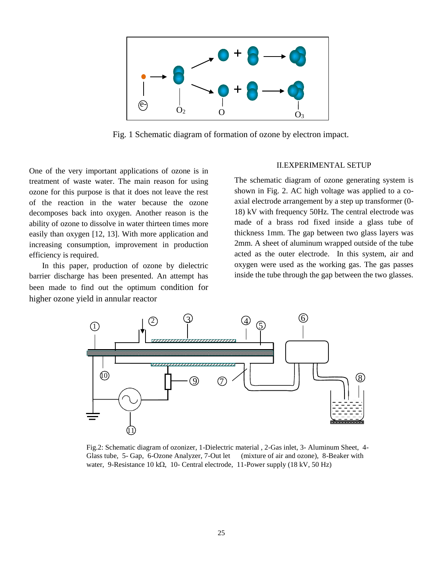

Fig. 1 Schematic diagram of formation of ozone by electron impact.

One of the very important applications of ozone is in treatment of waste water. The main reason for using ozone for this purpose is that it does not leave the rest of the reaction in the water because the ozone decomposes back into oxygen. Another reason is the ability of ozone to dissolve in water thirteen times more easily than oxygen [12, 13]. With more application and increasing consumption, improvement in production efficiency is required.

In this paper, production of ozone by dielectric barrier discharge has been presented. An attempt has been made to find out the optimum condition for higher ozone yield in annular reactor

#### II.EXPERIMENTAL SETUP

The schematic diagram of ozone generating system is shown in Fig. 2. AC high voltage was applied to a coaxial electrode arrangement by a step up transformer (0- 18) kV with frequency 50Hz. The central electrode was made of a brass rod fixed inside a glass tube of thickness 1mm. The gap between two glass layers was 2mm. A sheet of aluminum wrapped outside of the tube acted as the outer electrode. In this system, air and oxygen were used as the working gas. The gas passes inside the tube through the gap between the two glasses.



Fig.2: Schematic diagram of ozonizer, 1-Dielectric material , 2-Gas inlet, 3- Aluminum Sheet, 4- Glass tube, 5- Gap, 6-Ozone Analyzer, 7-Out let (mixture of air and ozone), 8-Beaker with water, 9-Resistance 10 k $\Omega$ , 10- Central electrode, 11-Power supply (18 kV, 50 Hz)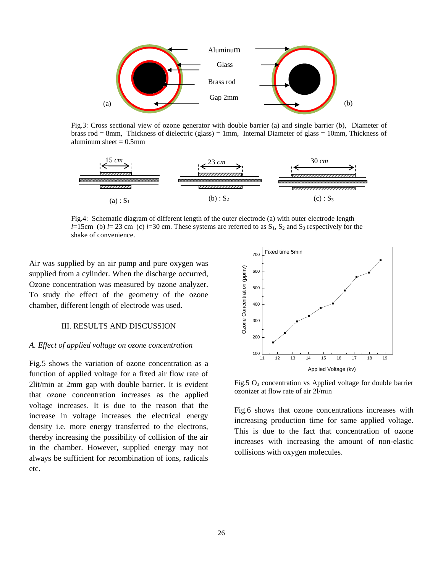

Fig.3: Cross sectional view of ozone generator with double barrier (a) and single barrier (b), Diameter of brass rod = 8mm, Thickness of dielectric (glass) = 1mm, Internal Diameter of glass = 10mm, Thickness of aluminum sheet  $= 0.5$ mm



Fig.4: Schematic diagram of different length of the outer electrode (a) with outer electrode length *l*=15cm (b) *l*= 23 cm (c) *l*=30 cm. These systems are referred to as  $S_1$ ,  $S_2$  and  $S_3$  respectively for the shake of convenience.

Air was supplied by an air pump and pure oxygen was supplied from a cylinder. When the discharge occurred, Ozone concentration was measured by ozone analyzer. To study the effect of the geometry of the ozone chamber, different length of electrode was used.

# III. RESULTS AND DISCUSSION

# *A. Effect of applied voltage on ozone concentration*

Fig.5 shows the variation of ozone concentration as a function of applied voltage for a fixed air flow rate of 2lit/min at 2mm gap with double barrier. It is evident that ozone concentration increases as the applied voltage increases. It is due to the reason that the increase in voltage increases the electrical energy density i.e. more energy transferred to the electrons, thereby increasing the possibility of collision of the air in the chamber. However, supplied energy may not always be sufficient for recombination of ions, radicals etc.



Fig.5  $O_3$  concentration vs Applied voltage for double barrier ozonizer at flow rate of air 2l/min

Fig.6 shows that ozone concentrations increases with increasing production time for same applied voltage. This is due to the fact that concentration of ozone increases with increasing the amount of non-elastic collisions with oxygen molecules.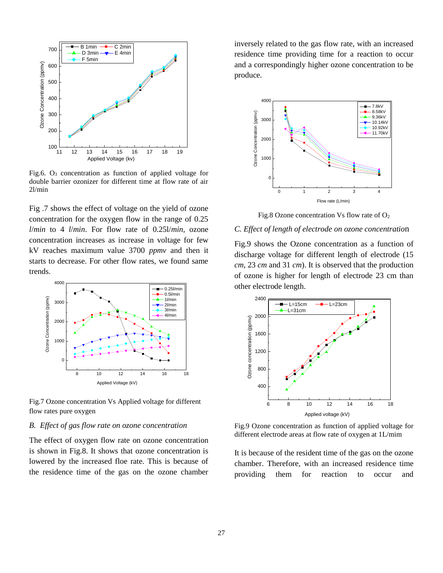

Fig.6.  $O_3$  concentration as function of applied voltage for double barrier ozonizer for different time at flow rate of air 2l/min

Fig .7 shows the effect of voltage on the yield of ozone concentration for the oxygen flow in the range of 0.25 *l*/*min* to 4 *l*/*min*. For flow rate of 0.25l/*min*, ozone concentration increases as increase in voltage for few kV reaches maximum value 3700 *ppmv* and then it starts to decrease. For other flow rates, we found same trends.



Fig.7 Ozone concentration Vs Applied voltage for different flow rates pure oxygen

# *B. Effect of gas flow rate on ozone concentration*

The effect of oxygen flow rate on ozone concentration is shown in Fig.8. It shows that ozone concentration is lowered by the increased floe rate. This is because of the residence time of the gas on the ozone chamber inversely related to the gas flow rate, with an increased residence time providing time for a reaction to occur and a correspondingly higher ozone concentration to be produce.



Fig.8 Ozone concentration Vs flow rate of  $O<sub>2</sub>$ 

# *C. Effect of length of electrode on ozone concentratio*n

Fig.9 shows the Ozone concentration as a function of discharge voltage for different length of electrode (15 *cm*, 23 *cm* and 31 *cm*). It is observed that the production of ozone is higher for length of electrode 23 cm than other electrode length.



Fig.9 Ozone concentration as function of applied voltage for different electrode areas at flow rate of oxygen at 1L/mim

It is because of the resident time of the gas on the ozone chamber. Therefore, with an increased residence time providing them for reaction to occur and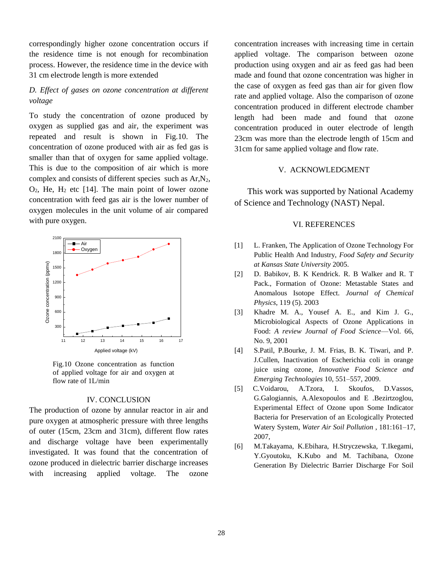correspondingly higher ozone concentration occurs if the residence time is not enough for recombination process. However, the residence time in the device with 31 cm electrode length is more extended

# *D. Effect of gases on ozone concentration at different voltage*

To study the concentration of ozone produced by oxygen as supplied gas and air, the experiment was repeated and result is shown in Fig.10. The concentration of ozone produced with air as fed gas is smaller than that of oxygen for same applied voltage. This is due to the composition of air which is more complex and consists of different species such as Ar,N2,  $O_2$ , He, H<sub>2</sub> etc [14]. The main point of lower ozone concentration with feed gas air is the lower number of oxygen molecules in the unit volume of air compared with pure oxygen.



Fig.10 Ozone concentration as function of applied voltage for air and oxygen at flow rate of 1L/min

# IV. CONCLUSION

The production of ozone by annular reactor in air and pure oxygen at atmospheric pressure with three lengths of outer (15cm, 23cm and 31cm), different flow rates and discharge voltage have been experimentally investigated. It was found that the concentration of ozone produced in dielectric barrier discharge increases with increasing applied voltage. The ozone

concentration increases with increasing time in certain applied voltage. The comparison between ozone production using oxygen and air as feed gas had been made and found that ozone concentration was higher in the case of oxygen as feed gas than air for given flow rate and applied voltage. Also the comparison of ozone concentration produced in different electrode chamber length had been made and found that ozone concentration produced in outer electrode of length 23cm was more than the electrode length of 15cm and 31cm for same applied voltage and flow rate.

# V. ACKNOWLEDGMENT

This work was supported by National Academy of Science and Technology (NAST) Nepal.

# VI. REFERENCES

- [1] L. Franken, The Application of Ozone Technology For Public Health And Industry, *Food Safety and Security at Kansas State University* 2005.
- [2] D. Babikov, B. K Kendrick. R. B Walker and R. T Pack., Formation of Ozone: Metastable States and Anomalous Isotope Effect. *Journal of Chemical Physics*, 119 (5). 2003
- [3] Khadre M. A., Yousef A. E., and Kim J. G., Microbiological Aspects of Ozone Applications in Food: *A review Journal of Food Science*—Vol. 66, No. 9, 2001
- [4] S.Patil, P.Bourke, J. M. Frias, B. K. Tiwari, and P. J.Cullen, Inactivation of Escherichia coli in orange juice using ozone, *Innovative Food Science and Emerging Technologies* 10, 551–557, 2009.
- [5] C.Voidarou, A.Tzora, I. Skoufos, D.Vassos, G.Galogiannis, A.Alexopoulos and E .Bezirtzoglou, Experimental Effect of Ozone upon Some Indicator Bacteria for Preservation of an Ecologically Protected Watery System*, Water Air Soil Pollution* , 181:161–17, 2007,
- [6] M.Takayama, K.Ebihara, H.Stryczewska, T.Ikegami, Y.Gyoutoku, K.Kubo and M. Tachibana, Ozone Generation By Dielectric Barrier Discharge For Soil